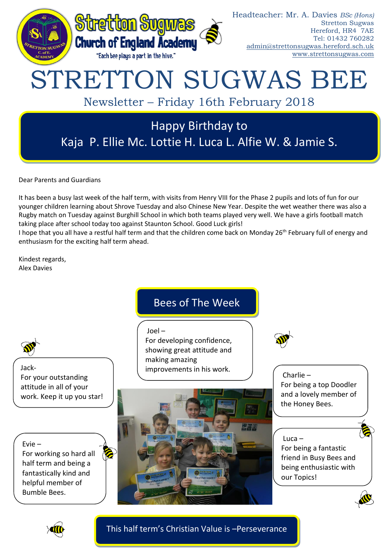

Dear Parents and Guardians

It has been a busy last week of the half term, with visits from Henry VIII for the Phase 2 pupils and lots of fun for our younger children learning about Shrove Tuesday and also Chinese New Year. Despite the wet weather there was also a Rugby match on Tuesday against Burghill School in which both teams played very well. We have a girls football match taking place after school today too against Staunton School. Good Luck girls!

I hope that you all have a restful half term and that the children come back on Monday 26<sup>th</sup> February full of energy and enthusiasm for the exciting half term ahead.

Kindest regards, Alex Davies

## Bees of The Week Joel – For developing confidence, showing great attitude and making amazing improvements in his work. Luca – For being a fantastic friend in Busy Bees and being enthusiastic with our Topics! Charlie – For being a top Doodler and a lovely member of the Honey Bees. Jack-For your outstanding attitude in all of your work. Keep it up you star! Evie – For working so hard all half term and being a fantastically kind and helpful member of Bumble Bees.